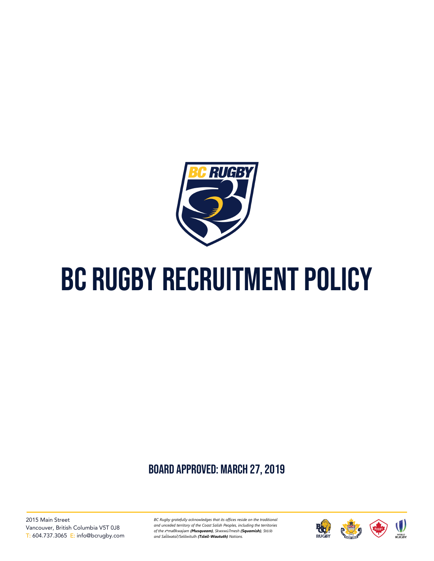

# BC RUGBY RECRUITMENT POLICY

# board approved: March 27, 2019

2015 Main Street Vancouver, British Columbia V5T 0J8 T: 604.737.3065 E: info@bcrugby.com *BC Rugby gratefully acknowledges that its offices reside on the traditional and unceded territory of the Coast Salish Peoples, including the territories of the xʷməθkwəy̓əm (Musqueam), Skwxwú7mesh (Squamish), Stó:lō and Səl̓ ílwətaʔ/Selilwitulh (Tsleil-Waututh) Nations.*

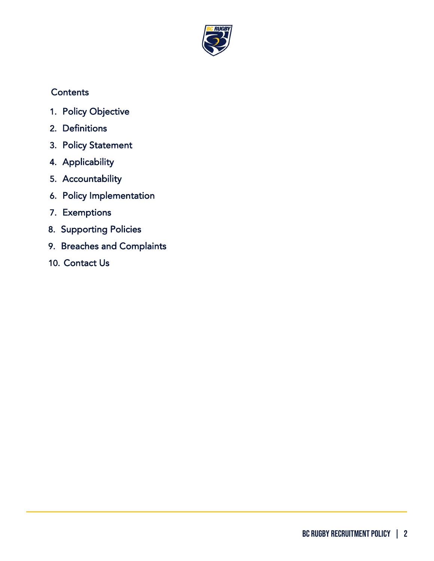

## **Contents**

- 1. [Policy Objective](#page-2-0)
- 2. [Definitions](#page-2-1)
- 3. [Policy Statement](#page-3-0)
- 4. [Applicability](#page-3-1)
- 5. [Accountability](#page-3-2)
- 6. [Policy Implementation](#page-4-0)
- 7. [Exemptions](#page-6-0)
- 8. [Supporting Policies](#page-6-1)
- 9. [Breaches and Complaints](#page-6-2)
- 10. [Contact Us](#page-7-0)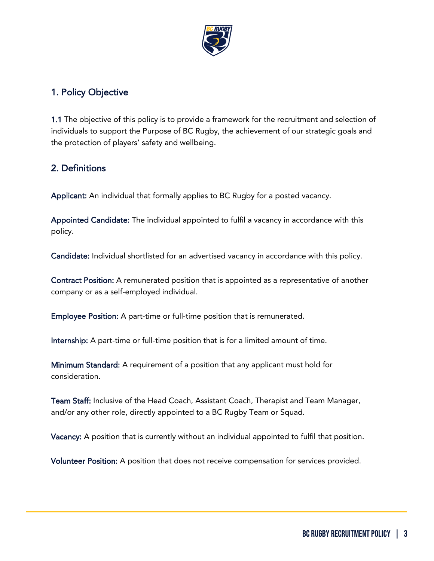

# <span id="page-2-0"></span>1. Policy Objective

1.1 The objective of this policy is to provide a framework for the recruitment and selection of individuals to support the Purpose of BC Rugby, the achievement of our strategic goals and the protection of players' safety and wellbeing.

#### <span id="page-2-1"></span>2. Definitions

Applicant: An individual that formally applies to BC Rugby for a posted vacancy.

Appointed Candidate: The individual appointed to fulfil a vacancy in accordance with this policy.

Candidate: Individual shortlisted for an advertised vacancy in accordance with this policy.

Contract Position: A remunerated position that is appointed as a representative of another company or as a self-employed individual.

Employee Position: A part-time or full-time position that is remunerated.

Internship: A part-time or full-time position that is for a limited amount of time.

Minimum Standard: A requirement of a position that any applicant must hold for consideration.

Team Staff: Inclusive of the Head Coach, Assistant Coach, Therapist and Team Manager, and/or any other role, directly appointed to a BC Rugby Team or Squad.

Vacancy: A position that is currently without an individual appointed to fulfil that position.

Volunteer Position: A position that does not receive compensation for services provided.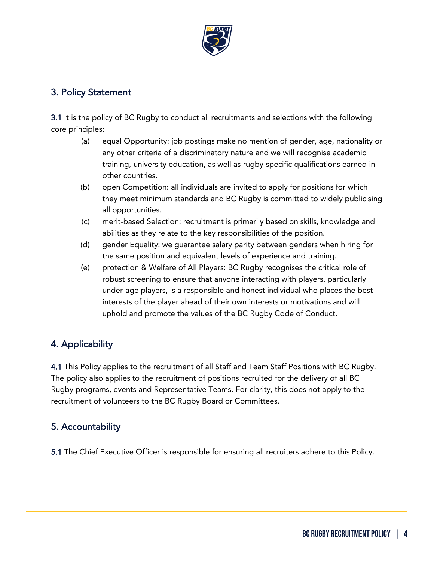

#### <span id="page-3-0"></span>3. Policy Statement

3.1 It is the policy of BC Rugby to conduct all recruitments and selections with the following core principles:

- (a) equal Opportunity: job postings make no mention of gender, age, nationality or any other criteria of a discriminatory nature and we will recognise academic training, university education, as well as rugby-specific qualifications earned in other countries.
- (b) open Competition: all individuals are invited to apply for positions for which they meet minimum standards and BC Rugby is committed to widely publicising all opportunities.
- (c) merit-based Selection: recruitment is primarily based on skills, knowledge and abilities as they relate to the key responsibilities of the position.
- (d) gender Equality: we guarantee salary parity between genders when hiring for the same position and equivalent levels of experience and training.
- (e) protection & Welfare of All Players: BC Rugby recognises the critical role of robust screening to ensure that anyone interacting with players, particularly under-age players, is a responsible and honest individual who places the best interests of the player ahead of their own interests or motivations and will uphold and promote the values of the BC Rugby Code of Conduct.

# <span id="page-3-1"></span>4. Applicability

4.1 This Policy applies to the recruitment of all Staff and Team Staff Positions with BC Rugby. The policy also applies to the recruitment of positions recruited for the delivery of all BC Rugby programs, events and Representative Teams. For clarity, this does not apply to the recruitment of volunteers to the BC Rugby Board or Committees.

# <span id="page-3-2"></span>5. Accountability

5.1 The Chief Executive Officer is responsible for ensuring all recruiters adhere to this Policy.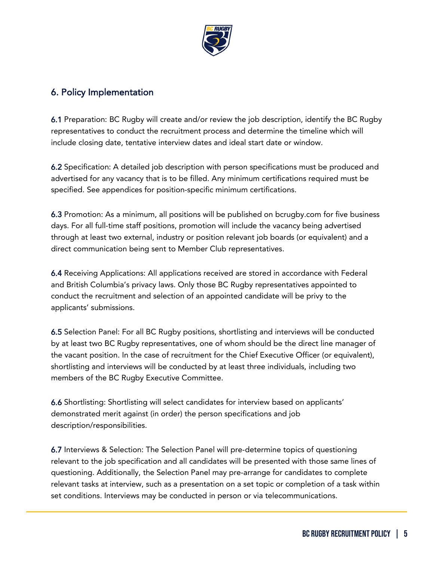

#### <span id="page-4-0"></span>6. Policy Implementation

6.1 Preparation: BC Rugby will create and/or review the job description, identify the BC Rugby representatives to conduct the recruitment process and determine the timeline which will include closing date, tentative interview dates and ideal start date or window.

6.2 Specification: A detailed job description with person specifications must be produced and advertised for any vacancy that is to be filled. Any minimum certifications required must be specified. See appendices for position-specific minimum certifications.

6.3 Promotion: As a minimum, all positions will be published on bcrugby.com for five business days. For all full-time staff positions, promotion will include the vacancy being advertised through at least two external, industry or position relevant job boards (or equivalent) and a direct communication being sent to Member Club representatives.

6.4 Receiving Applications: All applications received are stored in accordance with Federal and British Columbia's privacy laws. Only those BC Rugby representatives appointed to conduct the recruitment and selection of an appointed candidate will be privy to the applicants' submissions.

6.5 Selection Panel: For all BC Rugby positions, shortlisting and interviews will be conducted by at least two BC Rugby representatives, one of whom should be the direct line manager of the vacant position. In the case of recruitment for the Chief Executive Officer (or equivalent), shortlisting and interviews will be conducted by at least three individuals, including two members of the BC Rugby Executive Committee.

6.6 Shortlisting: Shortlisting will select candidates for interview based on applicants' demonstrated merit against (in order) the person specifications and job description/responsibilities.

6.7 Interviews & Selection: The Selection Panel will pre-determine topics of questioning relevant to the job specification and all candidates will be presented with those same lines of questioning. Additionally, the Selection Panel may pre-arrange for candidates to complete relevant tasks at interview, such as a presentation on a set topic or completion of a task within set conditions. Interviews may be conducted in person or via telecommunications.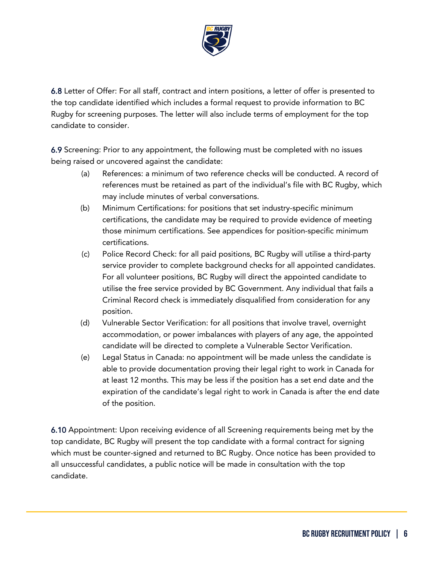

6.8 Letter of Offer: For all staff, contract and intern positions, a letter of offer is presented to the top candidate identified which includes a formal request to provide information to BC Rugby for screening purposes. The letter will also include terms of employment for the top candidate to consider.

6.9 Screening: Prior to any appointment, the following must be completed with no issues being raised or uncovered against the candidate:

- (a) References: a minimum of two reference checks will be conducted. A record of references must be retained as part of the individual's file with BC Rugby, which may include minutes of verbal conversations.
- (b) Minimum Certifications: for positions that set industry-specific minimum certifications, the candidate may be required to provide evidence of meeting those minimum certifications. See appendices for position-specific minimum certifications.
- (c) Police Record Check: for all paid positions, BC Rugby will utilise a third-party service provider to complete background checks for all appointed candidates. For all volunteer positions, BC Rugby will direct the appointed candidate to utilise the free service provided by BC Government. Any individual that fails a Criminal Record check is immediately disqualified from consideration for any position.
- (d) Vulnerable Sector Verification: for all positions that involve travel, overnight accommodation, or power imbalances with players of any age, the appointed candidate will be directed to complete a Vulnerable Sector Verification.
- (e) Legal Status in Canada: no appointment will be made unless the candidate is able to provide documentation proving their legal right to work in Canada for at least 12 months. This may be less if the position has a set end date and the expiration of the candidate's legal right to work in Canada is after the end date of the position.

6.10 Appointment: Upon receiving evidence of all Screening requirements being met by the top candidate, BC Rugby will present the top candidate with a formal contract for signing which must be counter-signed and returned to BC Rugby. Once notice has been provided to all unsuccessful candidates, a public notice will be made in consultation with the top candidate.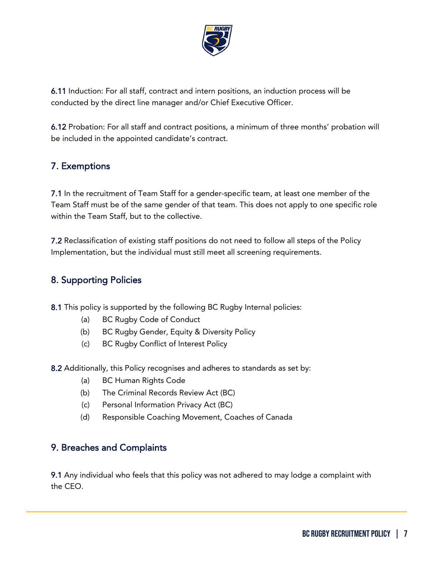

6.11 Induction: For all staff, contract and intern positions, an induction process will be conducted by the direct line manager and/or Chief Executive Officer.

6.12 Probation: For all staff and contract positions, a minimum of three months' probation will be included in the appointed candidate's contract.

## <span id="page-6-0"></span>7. Exemptions

7.1 In the recruitment of Team Staff for a gender-specific team, at least one member of the Team Staff must be of the same gender of that team. This does not apply to one specific role within the Team Staff, but to the collective.

7.2 Reclassification of existing staff positions do not need to follow all steps of the Policy Implementation, but the individual must still meet all screening requirements.

#### <span id="page-6-1"></span>8. Supporting Policies

8.1 This policy is supported by the following BC Rugby Internal policies:

- (a) BC Rugby Code of Conduct
- (b) BC Rugby Gender, Equity & Diversity Policy
- (c) BC Rugby Conflict of Interest Policy
- 8.2 Additionally, this Policy recognises and adheres to standards as set by:
	- (a) BC Human Rights Code
	- (b) The Criminal Records Review Act (BC)
	- (c) Personal Information Privacy Act (BC)
	- (d) Responsible Coaching Movement, Coaches of Canada

#### <span id="page-6-2"></span>9. Breaches and Complaints

9.1 Any individual who feels that this policy was not adhered to may lodge a complaint with the CEO.